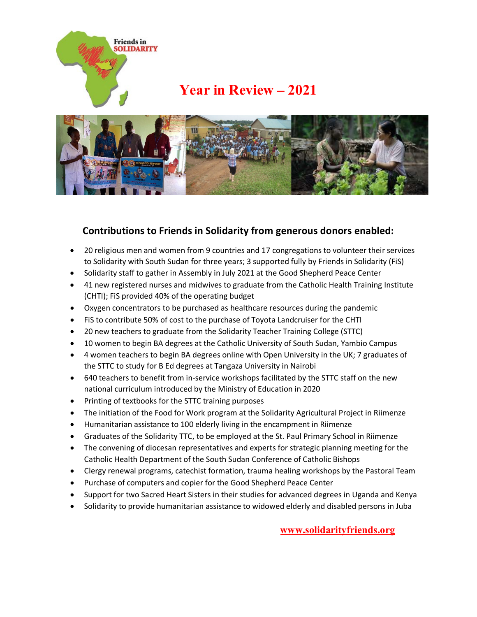

## **Year in Review – 2021**



## **Contributions to Friends in Solidarity from generous donors enabled:**

- 20 religious men and women from 9 countries and 17 congregations to volunteer their services to Solidarity with South Sudan for three years; 3 supported fully by Friends in Solidarity (FiS)
- Solidarity staff to gather in Assembly in July 2021 at the Good Shepherd Peace Center
- 41 new registered nurses and midwives to graduate from the Catholic Health Training Institute (CHTI); FiS provided 40% of the operating budget
- Oxygen concentrators to be purchased as healthcare resources during the pandemic
- FiS to contribute 50% of cost to the purchase of Toyota Landcruiser for the CHTI
- 20 new teachers to graduate from the Solidarity Teacher Training College (STTC)
- 10 women to begin BA degrees at the Catholic University of South Sudan, Yambio Campus
- 4 women teachers to begin BA degrees online with Open University in the UK; 7 graduates of the STTC to study for B Ed degrees at Tangaza University in Nairobi
- 640 teachers to benefit from in-service workshops facilitated by the STTC staff on the new national curriculum introduced by the Ministry of Education in 2020
- Printing of textbooks for the STTC training purposes
- The initiation of the Food for Work program at the Solidarity Agricultural Project in Riimenze
- Humanitarian assistance to 100 elderly living in the encampment in Riimenze
- Graduates of the Solidarity TTC, to be employed at the St. Paul Primary School in Riimenze
- The convening of diocesan representatives and experts for strategic planning meeting for the Catholic Health Department of the South Sudan Conference of Catholic Bishops
- Clergy renewal programs, catechist formation, trauma healing workshops by the Pastoral Team
- Purchase of computers and copier for the Good Shepherd Peace Center
- Support for two Sacred Heart Sisters in their studies for advanced degrees in Uganda and Kenya
- Solidarity to provide humanitarian assistance to widowed elderly and disabled persons in Juba

**[www.solidarityfriends.org](http://www.solidarityfriends.org/)**